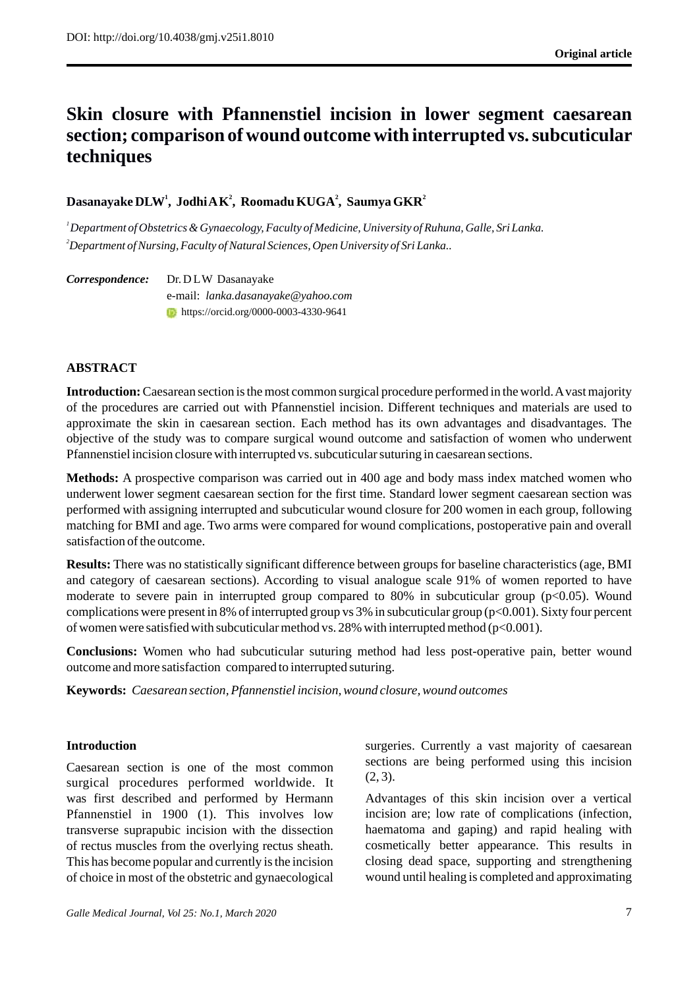# **Skin closure with Pfannenstiel incision in lower segment caesarean section; comparison of wound outcome with interrupted vs. subcuticular techniques**

# **<sup>1</sup> Dasanayake DLW , 2 2 2 Jodhi AK , Roomadu KUGA , Saumya GKR**

*<sup>1</sup>Department of Obstetrics & Gynaecology, Faculty of Medicine, University of Ruhuna, Galle, . Sri Lanka <sup>2</sup>Department of Nursing, Faculty of Natural Sciences, Open University of Sri Lanka..* 

*Correspondence:* Dr. DLW Dasanayake e-mail: *lanka.dasanayake@yahoo.com*  **https://orcid.org/0000-0003-4330-9641** 

# **ABSTRACT**

**Introduction:** Caesarean section is the most common surgical procedure performed in the world. Avast majority of the procedures are carried out with Pfannenstiel incision. Different techniques and materials are used to approximate the skin in caesarean section. Each method has its own advantages and disadvantages. The objective of the study was to compare surgical wound outcome and satisfaction of women who underwent Pfannenstiel incision closure with interrupted vs. subcuticular suturing in caesarean sections.

**Methods:** A prospective comparison was carried out in 400 age and body mass index matched women who underwent lower segment caesarean section for the first time. Standard lower segment caesarean section was performed with assigning interrupted and subcuticular wound closure for 200 women in each group, following matching for BMI and age. Two arms were compared for wound complications, postoperative pain and overall satisfaction of the outcome.

**Results:** There was no statistically significant difference between groups for baseline characteristics (age, BMI and category of caesarean sections). According to visual analogue scale 91% of women reported to have moderate to severe pain in interrupted group compared to  $80\%$  in subcuticular group ( $p<0.05$ ). Wound complications were present in 8% of interrupted group vs 3% in subcuticular group (p<0.001). Sixty four percent of women were satisfied with subcuticular method vs. 28% with interrupted method (p<0.001).

**Conclusions:** Women who had subcuticular suturing method had less post-operative pain, better wound outcome and more satisfaction compared to interrupted suturing.

**Keywords:** *Caesarean section, Pfannenstiel incision, wound closure, wound outcomes*

# **Introduction**

Caesarean section is one of the most common surgical procedures performed worldwide. It was first described and performed by Hermann Pfannenstiel in 1900 (1). This involves low transverse suprapubic incision with the dissection of rectus muscles from the overlying rectus sheath. This has become popular and currently is the incision of choice in most of the obstetric and gynaecological surgeries. Currently a vast majority of caesarean sections are being performed using this incision  $(2, 3)$ .

Advantages of this skin incision over a vertical incision are; low rate of complications (infection, haematoma and gaping) and rapid healing with cosmetically better appearance. This results in closing dead space, supporting and strengthening wound until healing is completed and approximating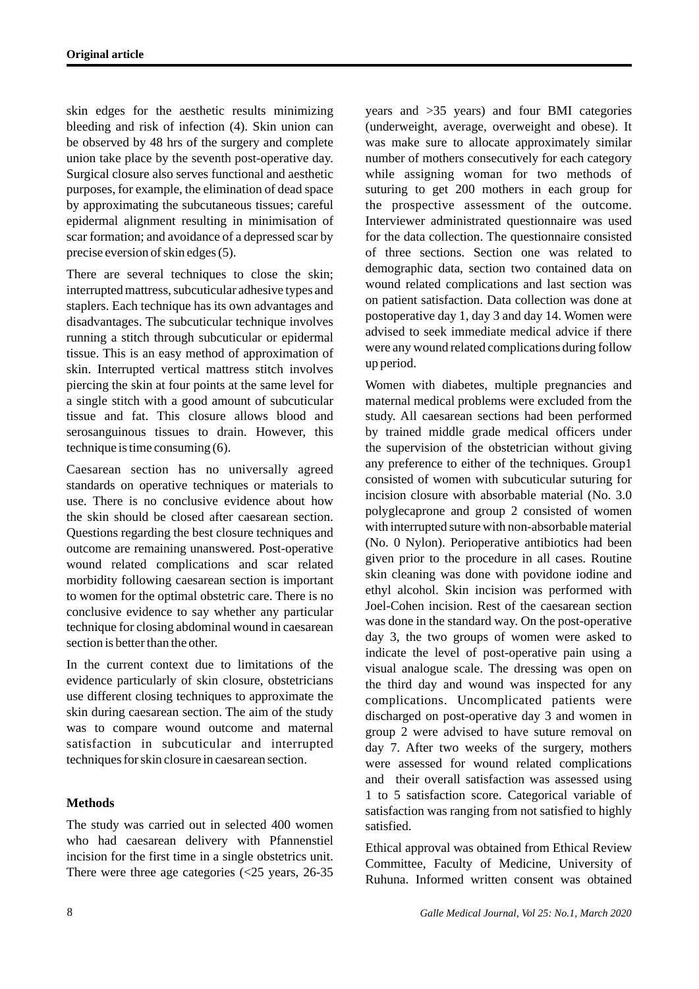skin edges for the aesthetic results minimizing bleeding and risk of infection (4). Skin union can be observed by 48 hrs of the surgery and complete union take place by the seventh post-operative day. Surgical closure also serves functional and aesthetic purposes, for example, the elimination of dead space by approximating the subcutaneous tissues; careful epidermal alignment resulting in minimisation of scar formation; and avoidance of a depressed scar by precise eversion of skin edges (5).

There are several techniques to close the skin; interrupted mattress, subcuticular adhesive types and staplers. Each technique has its own advantages and disadvantages. The subcuticular technique involves running a stitch through subcuticular or epidermal tissue. This is an easy method of approximation of skin. Interrupted vertical mattress stitch involves piercing the skin at four points at the same level for a single stitch with a good amount of subcuticular tissue and fat. This closure allows blood and serosanguinous tissues to drain. However, this technique is time consuming (6).

Caesarean section has no universally agreed standards on operative techniques or materials to use. There is no conclusive evidence about how the skin should be closed after caesarean section. Questions regarding the best closure techniques and outcome are remaining unanswered. Post-operative wound related complications and scar related morbidity following caesarean section is important to women for the optimal obstetric care. There is no conclusive evidence to say whether any particular technique for closing abdominal wound in caesarean section is better than the other.

In the current context due to limitations of the evidence particularly of skin closure, obstetricians use different closing techniques to approximate the skin during caesarean section. The aim of the study was to compare wound outcome and maternal satisfaction in subcuticular and interrupted techniques for skin closure in caesarean section.

# **Methods**

The study was carried out in selected 400 women who had caesarean delivery with Pfannenstiel incision for the first time in a single obstetrics unit. There were three age categories (<25 years, 26-35 years and >35 years) and four BMI categories (underweight, average, overweight and obese). It was make sure to allocate approximately similar number of mothers consecutively for each category while assigning woman for two methods of suturing to get 200 mothers in each group for the prospective assessment of the outcome. Interviewer administrated questionnaire was used for the data collection. The questionnaire consisted of three sections. Section one was related to demographic data, section two contained data on wound related complications and last section was on patient satisfaction. Data collection was done at postoperative day 1, day 3 and day 14. Women were advised to seek immediate medical advice if there were any wound related complications during follow up period.

Women with diabetes, multiple pregnancies and maternal medical problems were excluded from the study. All caesarean sections had been performed by trained middle grade medical officers under the supervision of the obstetrician without giving any preference to either of the techniques. Group1 consisted of women with subcuticular suturing for incision closure with absorbable material (No. 3.0 polyglecaprone and group 2 consisted of women with interrupted suture with non-absorbable material (No. 0 Nylon). Perioperative antibiotics had been given prior to the procedure in all cases. Routine skin cleaning was done with povidone iodine and ethyl alcohol. Skin incision was performed with Joel-Cohen incision. Rest of the caesarean section was done in the standard way. On the post-operative day 3, the two groups of women were asked to indicate the level of post-operative pain using a visual analogue scale. The dressing was open on the third day and wound was inspected for any complications. Uncomplicated patients were discharged on post-operative day 3 and women in group 2 were advised to have suture removal on day 7. After two weeks of the surgery, mothers were assessed for wound related complications and their overall satisfaction was assessed using 1 to 5 satisfaction score. Categorical variable of satisfaction was ranging from not satisfied to highly satisfied.

Ethical approval was obtained from Ethical Review Committee, Faculty of Medicine, University of Ruhuna. Informed written consent was obtained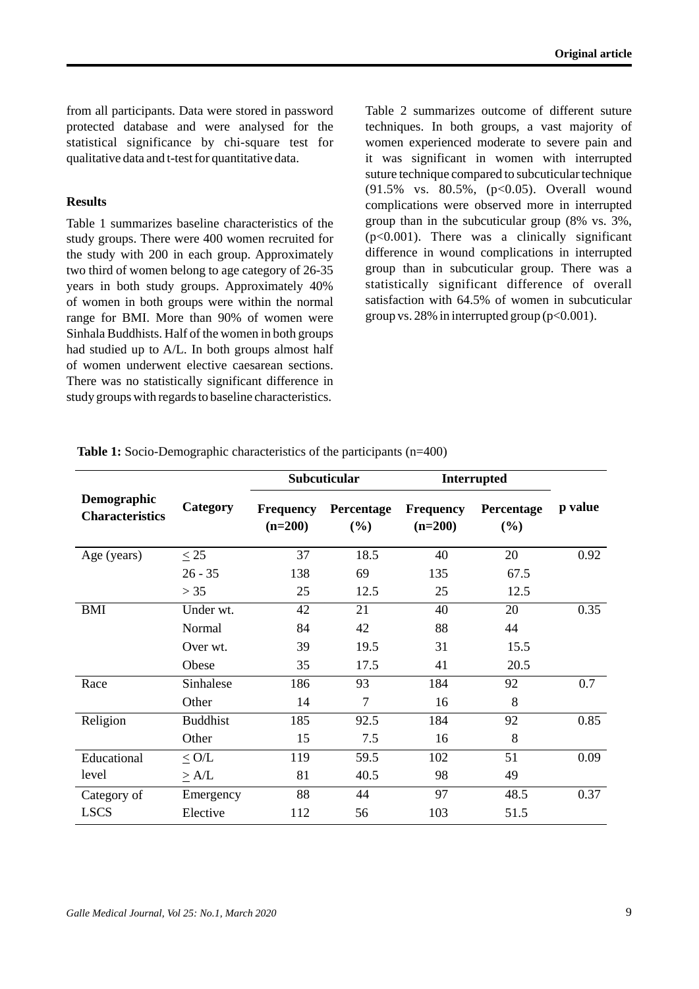from all participants. Data were stored in password protected database and were analysed for the statistical significance by chi-square test for qualitative data and t-test for quantitative data.

# **Results**

Table 1 summarizes baseline characteristics of the study groups. There were 400 women recruited for the study with 200 in each group. Approximately two third of women belong to age category of 26-35 years in both study groups. Approximately 40% of women in both groups were within the normal range for BMI. More than 90% of women were Sinhala Buddhists. Half of the women in both groups had studied up to A/L. In both groups almost half of women underwent elective caesarean sections. There was no statistically significant difference in study groups with regards to baseline characteristics.

Table 2 summarizes outcome of different suture techniques. In both groups, a vast majority of women experienced moderate to severe pain and it was significant in women with interrupted suture technique compared to subcuticular technique (91.5% vs. 80.5%, (p<0.05). Overall wound complications were observed more in interrupted group than in the subcuticular group (8% vs. 3%, (p<0.001). There was a clinically significant difference in wound complications in interrupted group than in subcuticular group. There was a statistically significant difference of overall satisfaction with 64.5% of women in subcuticular group vs. 28% in interrupted group  $(p<0.001)$ .

| <b>Demographic</b><br><b>Characteristics</b> | Category        | Subcuticular                  |                   | <b>Interrupted</b>            |                   |         |
|----------------------------------------------|-----------------|-------------------------------|-------------------|-------------------------------|-------------------|---------|
|                                              |                 | <b>Frequency</b><br>$(n=200)$ | Percentage<br>(%) | <b>Frequency</b><br>$(n=200)$ | Percentage<br>(%) | p value |
| Age (years)                                  | $\leq$ 25       | 37                            | 18.5              | 40                            | 20                | 0.92    |
|                                              | $26 - 35$       | 138                           | 69                | 135                           | 67.5              |         |
|                                              | > 35            | 25                            | 12.5              | 25                            | 12.5              |         |
| <b>BMI</b>                                   | Under wt.       | 42                            | 21                | 40                            | 20                | 0.35    |
|                                              | Normal          | 84                            | 42                | 88                            | 44                |         |
|                                              | Over wt.        | 39                            | 19.5              | 31                            | 15.5              |         |
|                                              | Obese           | 35                            | 17.5              | 41                            | 20.5              |         |
| Race                                         | Sinhalese       | 186                           | 93                | 184                           | 92                | 0.7     |
|                                              | Other           | 14                            | $\overline{7}$    | 16                            | 8                 |         |
| Religion                                     | <b>Buddhist</b> | 185                           | 92.5              | 184                           | 92                | 0.85    |
|                                              | Other           | 15                            | 7.5               | 16                            | 8                 |         |
| Educational                                  | < O/L           | 119                           | 59.5              | 102                           | 51                | 0.09    |
| level                                        | $\geq A/L$      | 81                            | 40.5              | 98                            | 49                |         |
| Category of                                  | Emergency       | 88                            | 44                | 97                            | 48.5              | 0.37    |
| <b>LSCS</b>                                  | Elective        | 112                           | 56                | 103                           | 51.5              |         |

**Table 1:** Socio-Demographic characteristics of the participants (n=400)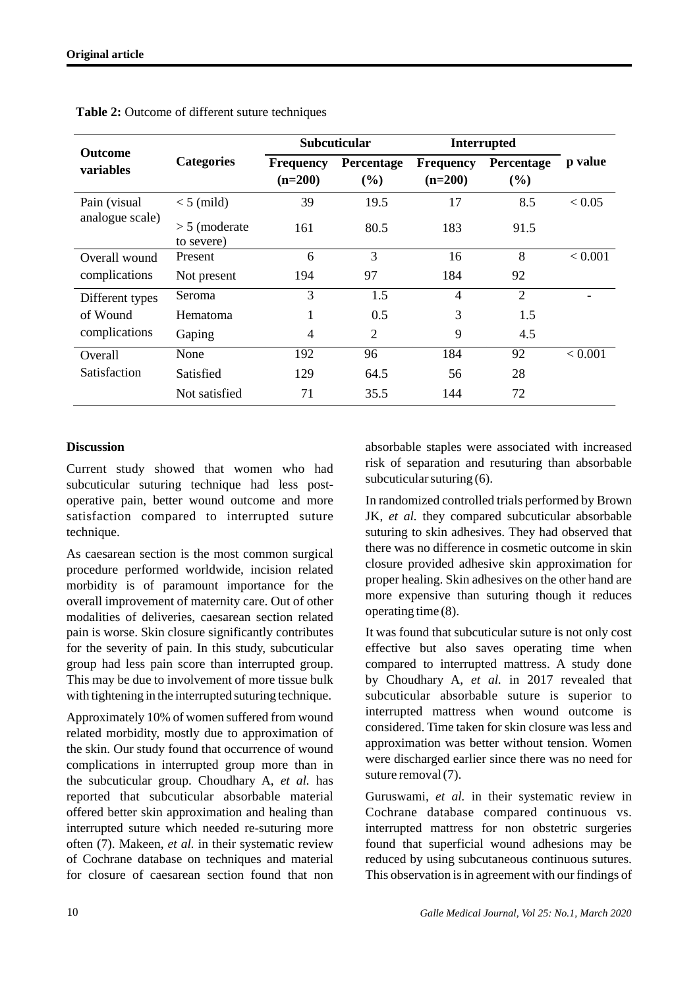| <b>Outcome</b><br><b>variables</b>           | <b>Categories</b>             | <b>Subcuticular</b>           |                   | <b>Interrupted</b>            |                   |         |
|----------------------------------------------|-------------------------------|-------------------------------|-------------------|-------------------------------|-------------------|---------|
|                                              |                               | <b>Frequency</b><br>$(n=200)$ | Percentage<br>(%) | <b>Frequency</b><br>$(n=200)$ | Percentage<br>(%) | p value |
| Pain (visual<br>analogue scale)              | $<$ 5 (mild)                  | 39                            | 19.5              | 17                            | 8.5               | < 0.05  |
|                                              | $> 5$ (moderate<br>to severe) | 161                           | 80.5              | 183                           | 91.5              |         |
| Overall wound<br>complications               | Present                       | 6                             | 3                 | 16                            | 8                 | < 0.001 |
|                                              | Not present                   | 194                           | 97                | 184                           | 92                |         |
| Different types<br>of Wound<br>complications | Seroma                        | 3                             | 1.5               | $\overline{4}$                | $\overline{2}$    |         |
|                                              | Hematoma                      | 1                             | 0.5               | 3                             | 1.5               |         |
|                                              | Gaping                        | 4                             | $\overline{2}$    | 9                             | 4.5               |         |
| <b>Overall</b><br>Satisfaction               | None                          | 192                           | 96                | 184                           | 92                | < 0.001 |
|                                              | Satisfied                     | 129                           | 64.5              | 56                            | 28                |         |
|                                              | Not satisfied                 | 71                            | 35.5              | 144                           | 72                |         |

**Table 2:** Outcome of different suture techniques

# **Discussion**

Current study showed that women who had subcuticular suturing technique had less postoperative pain, better wound outcome and more satisfaction compared to interrupted suture technique.

As caesarean section is the most common surgical procedure performed worldwide, incision related morbidity is of paramount importance for the overall improvement of maternity care. Out of other modalities of deliveries, caesarean section related pain is worse. Skin closure significantly contributes for the severity of pain. In this study, subcuticular group had less pain score than interrupted group. This may be due to involvement of more tissue bulk with tightening in the interrupted suturing technique.

Approximately 10% of women suffered from wound related morbidity, mostly due to approximation of the skin. Our study found that occurrence of wound complications in interrupted group more than in the subcuticular group. Choudhary A, *et al.* has reported that subcuticular absorbable material offered better skin approximation and healing than interrupted suture which needed re-suturing more often (7). Makeen, *et al.* in their systematic review of Cochrane database on techniques and material for closure of caesarean section found that non absorbable staples were associated with increased risk of separation and resuturing than absorbable subcuticular suturing (6).

In randomized controlled trials performed by Brown JK, *et al.* they compared subcuticular absorbable suturing to skin adhesives. They had observed that there was no difference in cosmetic outcome in skin closure provided adhesive skin approximation for proper healing. Skin adhesives on the other hand are more expensive than suturing though it reduces operating time (8).

It was found that subcuticular suture is not only cost effective but also saves operating time when compared to interrupted mattress. A study done by Choudhary A, *et al.* in 2017 revealed that subcuticular absorbable suture is superior to interrupted mattress when wound outcome is considered. Time taken for skin closure was less and approximation was better without tension. Women were discharged earlier since there was no need for suture removal (7).

Guruswami, *et al.* in their systematic review in Cochrane database compared continuous vs. interrupted mattress for non obstetric surgeries found that superficial wound adhesions may be reduced by using subcutaneous continuous sutures. This observation is in agreement with our findings of